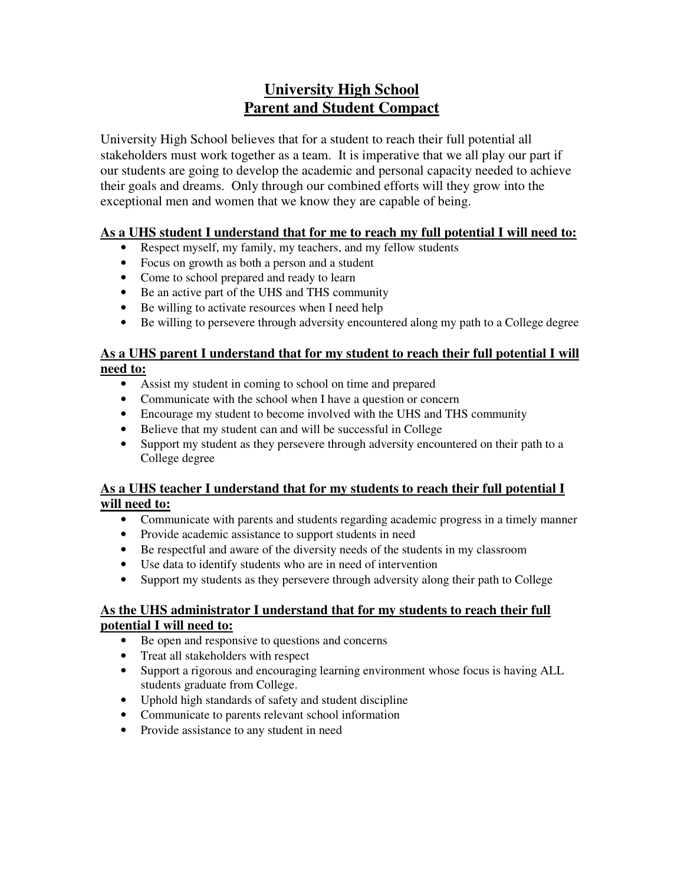# **University High School Parent and Student Compact**

University High School believes that for a student to reach their full potential all stakeholders must work together as a team. It is imperative that we all play our part if our students are going to develop the academic and personal capacity needed to achieve their goals and dreams. Only through our combined efforts will they grow into the exceptional men and women that we know they are capable of being.

## **As a UHS student I understand that for me to reach my full potential I will need to:**

- Respect myself, my family, my teachers, and my fellow students
- Focus on growth as both a person and a student
- Come to school prepared and ready to learn
- Be an active part of the UHS and THS community
- Be willing to activate resources when I need help
- Be willing to persevere through adversity encountered along my path to a College degree

## **As a UHS parent I understand that for my student to reach their full potential I will need to:**

- Assist my student in coming to school on time and prepared
- Communicate with the school when I have a question or concern
- Encourage my student to become involved with the UHS and THS community
- Believe that my student can and will be successful in College
- Support my student as they persevere through adversity encountered on their path to a College degree

#### **As a UHS teacher I understand that for my students to reach their full potential I will need to:**

- Communicate with parents and students regarding academic progress in a timely manner
- Provide academic assistance to support students in need
- Be respectful and aware of the diversity needs of the students in my classroom
- Use data to identify students who are in need of intervention
- Support my students as they persevere through adversity along their path to College

#### **As the UHS administrator I understand that for my students to reach their full potential I will need to:**

- Be open and responsive to questions and concerns
- Treat all stakeholders with respect
- Support a rigorous and encouraging learning environment whose focus is having ALL students graduate from College.
- Uphold high standards of safety and student discipline
- Communicate to parents relevant school information
- Provide assistance to any student in need